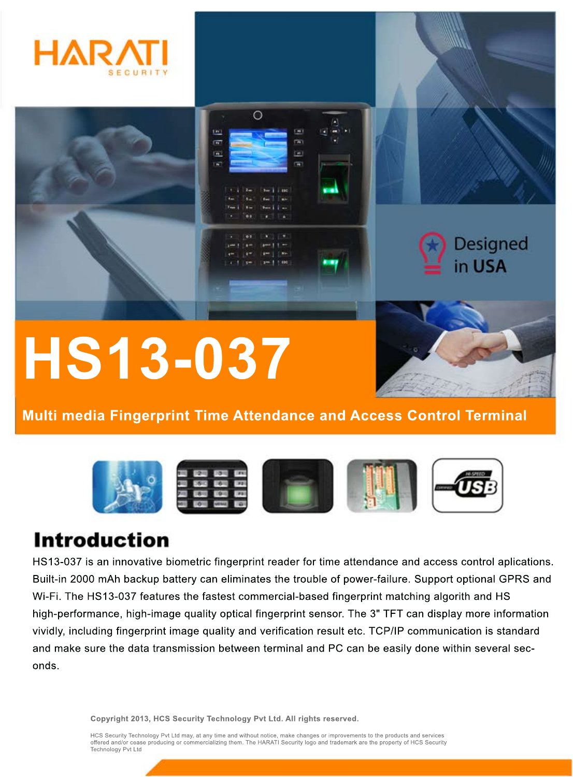



## **HS13-037**

**Multi media Fingerprint Time Attendance and Access Control Terminal**



## **Introduction**

HS13-037 is an innovative biometric fingerprint reader for time attendance and access control aplications. Built-in 2000 mAh backup battery can eliminates the trouble of power-failure. Support optional GPRS and Wi-Fi. The HS13-037 features the fastest commercial-based fingerprint matching algorith and HS high-performance, high-image quality optical fingerprint sensor. The 3" TFT can display more information vividly, including fingerprint image quality and verification result etc. TCP/IP communication is standard and make sure the data transmission between terminal and PC can be easily done within several seconds.

**Copyright 2013, HCS Security Technology Pvt Ltd. All rights reserved.**

HCS Security Technology Pvt Ltd may, at any time and without notice, make changes or improvements to the products and services offered and/or cease producing or commercializing them. The HARATI Security logo and trademark are the property of HCS Security Technology Pvt Ltd